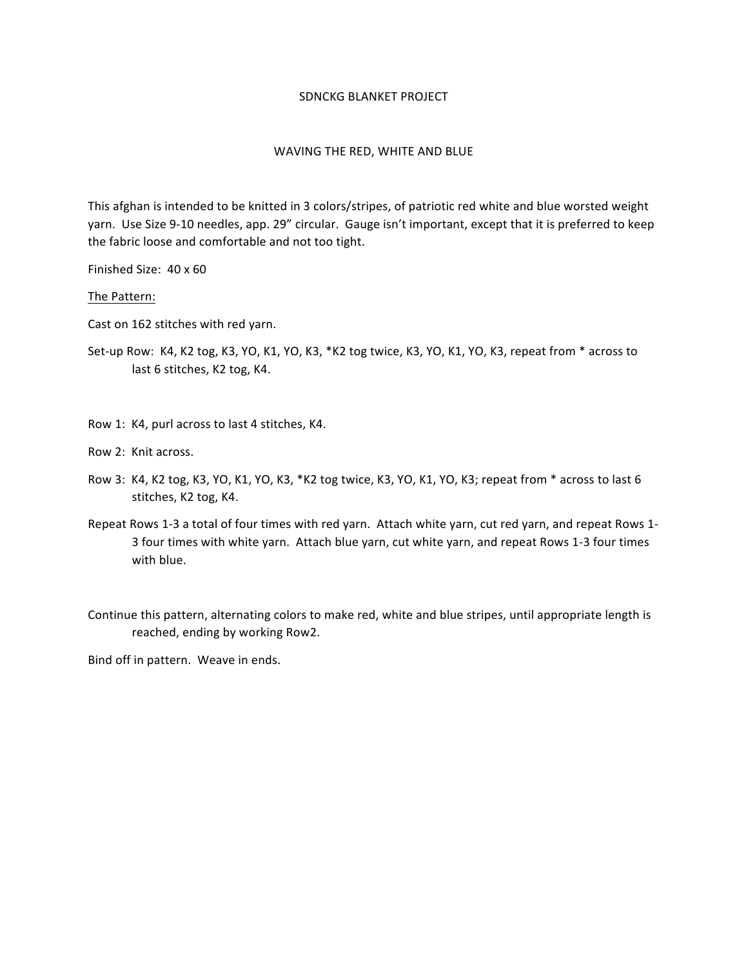## SDNCKG BLANKET PROJECT

## WAVING THE RED, WHITE AND BLUE

This afghan is intended to be knitted in 3 colors/stripes, of patriotic red white and blue worsted weight yarn. Use Size 9-10 needles, app. 29" circular. Gauge isn't important, except that it is preferred to keep the fabric loose and comfortable and not too tight.

Finished Size: 40 x 60

The Pattern:

Cast on 162 stitches with red yarn.

Set-up Row: K4, K2 tog, K3, YO, K1, YO, K3, \*K2 tog twice, K3, YO, K1, YO, K3, repeat from \* across to last 6 stitches, K2 tog, K4.

Row 1: K4, purl across to last 4 stitches, K4.

Row 2: Knit across.

- Row 3: K4, K2 tog, K3, YO, K1, YO, K3, \*K2 tog twice, K3, YO, K1, YO, K3; repeat from \* across to last 6 stitches, K2 tog, K4.
- Repeat Rows 1-3 a total of four times with red yarn. Attach white yarn, cut red yarn, and repeat Rows 1-3 four times with white yarn. Attach blue yarn, cut white yarn, and repeat Rows 1-3 four times with blue.

Continue this pattern, alternating colors to make red, white and blue stripes, until appropriate length is reached, ending by working Row2.

Bind off in pattern. Weave in ends.